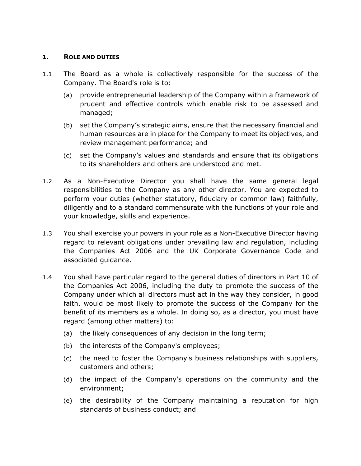## **1. ROLE AND DUTIES**

- 1.1 The Board as a whole is collectively responsible for the success of the Company. The Board's role is to:
	- (a) provide entrepreneurial leadership of the Company within a framework of prudent and effective controls which enable risk to be assessed and managed;
	- (b) set the Company's strategic aims, ensure that the necessary financial and human resources are in place for the Company to meet its objectives, and review management performance; and
	- (c) set the Company's values and standards and ensure that its obligations to its shareholders and others are understood and met.
- 1.2 As a Non-Executive Director you shall have the same general legal responsibilities to the Company as any other director. You are expected to perform your duties (whether statutory, fiduciary or common law) faithfully, diligently and to a standard commensurate with the functions of your role and your knowledge, skills and experience.
- 1.3 You shall exercise your powers in your role as a Non-Executive Director having regard to relevant obligations under prevailing law and regulation, including the Companies Act 2006 and the UK Corporate Governance Code and associated guidance.
- 1.4 You shall have particular regard to the general duties of directors in Part 10 of the Companies Act 2006, including the duty to promote the success of the Company under which all directors must act in the way they consider, in good faith, would be most likely to promote the success of the Company for the benefit of its members as a whole. In doing so, as a director, you must have regard (among other matters) to:
	- (a) the likely consequences of any decision in the long term;
	- (b) the interests of the Company's employees;
	- (c) the need to foster the Company's business relationships with suppliers, customers and others;
	- (d) the impact of the Company's operations on the community and the environment;
	- (e) the desirability of the Company maintaining a reputation for high standards of business conduct; and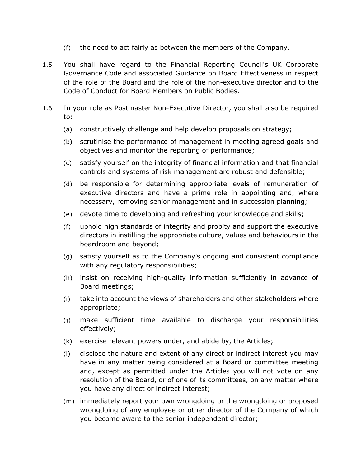- (f) the need to act fairly as between the members of the Company.
- 1.5 You shall have regard to the Financial Reporting Council's UK Corporate Governance Code and associated Guidance on Board Effectiveness in respect of the role of the Board and the role of the non-executive director and to the Code of Conduct for Board Members on Public Bodies.
- 1.6 In your role as Postmaster Non-Executive Director, you shall also be required to:
	- (a) constructively challenge and help develop proposals on strategy;
	- (b) scrutinise the performance of management in meeting agreed goals and objectives and monitor the reporting of performance;
	- (c) satisfy yourself on the integrity of financial information and that financial controls and systems of risk management are robust and defensible;
	- (d) be responsible for determining appropriate levels of remuneration of executive directors and have a prime role in appointing and, where necessary, removing senior management and in succession planning;
	- (e) devote time to developing and refreshing your knowledge and skills;
	- (f) uphold high standards of integrity and probity and support the executive directors in instilling the appropriate culture, values and behaviours in the boardroom and beyond;
	- (g) satisfy yourself as to the Company's ongoing and consistent compliance with any regulatory responsibilities;
	- (h) insist on receiving high-quality information sufficiently in advance of Board meetings;
	- (i) take into account the views of shareholders and other stakeholders where appropriate;
	- (j) make sufficient time available to discharge your responsibilities effectively;
	- (k) exercise relevant powers under, and abide by, the Articles;
	- (l) disclose the nature and extent of any direct or indirect interest you may have in any matter being considered at a Board or committee meeting and, except as permitted under the Articles you will not vote on any resolution of the Board, or of one of its committees, on any matter where you have any direct or indirect interest;
	- (m) immediately report your own wrongdoing or the wrongdoing or proposed wrongdoing of any employee or other director of the Company of which you become aware to the senior independent director;